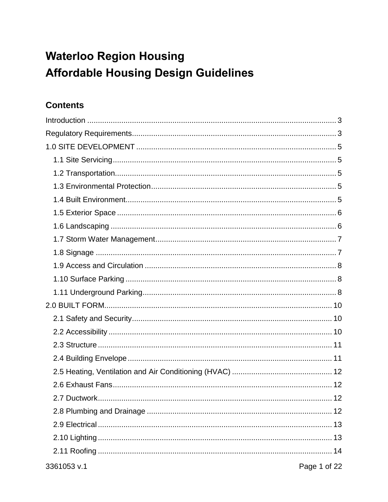# **Waterloo Region Housing Affordable Housing Design Guidelines**

# **Contents**

| .12<br>2.7 Ductwork         |
|-----------------------------|
|                             |
|                             |
|                             |
|                             |
| 3361053 v.1<br>Page 1 of 22 |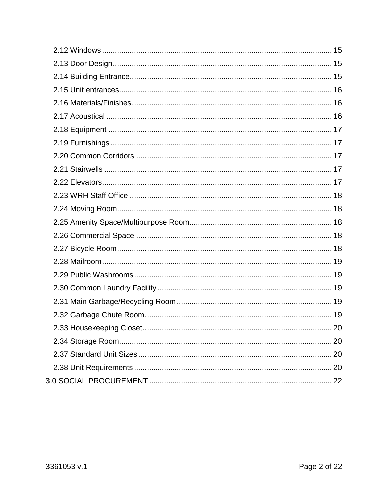| 20 |
|----|
|    |
|    |
|    |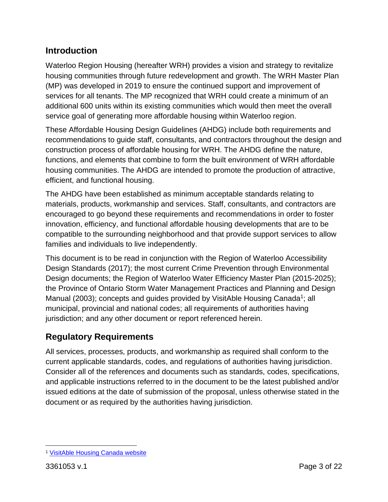# <span id="page-2-0"></span>**Introduction**

Waterloo Region Housing (hereafter WRH) provides a vision and strategy to revitalize housing communities through future redevelopment and growth. The WRH Master Plan (MP) was developed in 2019 to ensure the continued support and improvement of services for all tenants. The MP recognized that WRH could create a minimum of an additional 600 units within its existing communities which would then meet the overall service goal of generating more affordable housing within Waterloo region.

These Affordable Housing Design Guidelines (AHDG) include both requirements and recommendations to guide staff, consultants, and contractors throughout the design and construction process of affordable housing for WRH. The AHDG define the nature, functions, and elements that combine to form the built environment of WRH affordable housing communities. The AHDG are intended to promote the production of attractive, efficient, and functional housing.

The AHDG have been established as minimum acceptable standards relating to materials, products, workmanship and services. Staff, consultants, and contractors are encouraged to go beyond these requirements and recommendations in order to foster innovation, efficiency, and functional affordable housing developments that are to be compatible to the surrounding neighborhood and that provide support services to allow families and individuals to live independently.

This document is to be read in conjunction with the Region of Waterloo Accessibility Design Standards (2017); the most current Crime Prevention through Environmental Design documents; the Region of Waterloo Water Efficiency Master Plan (2015-2025); the Province of Ontario Storm Water Management Practices and Planning and Design Manual (2003); concepts and guides provided by VisitAble Housing Canada<sup>1</sup>; all municipal, provincial and national codes; all requirements of authorities having jurisdiction; and any other document or report referenced herein.

# <span id="page-2-1"></span>**Regulatory Requirements**

All services, processes, products, and workmanship as required shall conform to the current applicable standards, codes, and regulations of authorities having jurisdiction. Consider all of the references and documents such as standards, codes, specifications, and applicable instructions referred to in the document to be the latest published and/or issued editions at the date of submission of the proposal, unless otherwise stated in the document or as required by the authorities having jurisdiction.

 $\overline{a}$ <sup>1</sup> [VisitAble Housing Canada website](http://visitablehousingcanada.com/)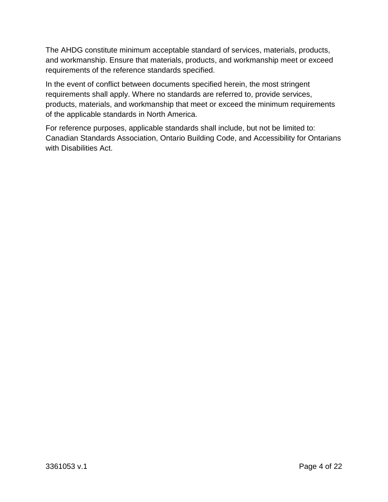The AHDG constitute minimum acceptable standard of services, materials, products, and workmanship. Ensure that materials, products, and workmanship meet or exceed requirements of the reference standards specified.

In the event of conflict between documents specified herein, the most stringent requirements shall apply. Where no standards are referred to, provide services, products, materials, and workmanship that meet or exceed the minimum requirements of the applicable standards in North America.

For reference purposes, applicable standards shall include, but not be limited to: Canadian Standards Association, Ontario Building Code, and Accessibility for Ontarians with Disabilities Act.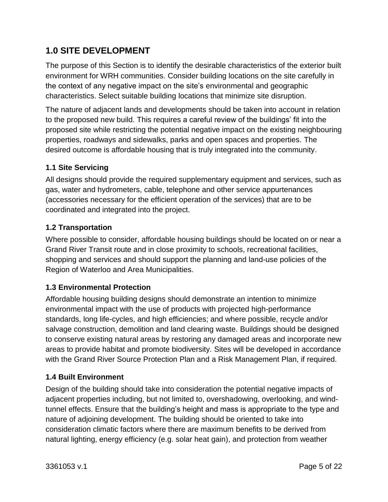# <span id="page-4-0"></span>**1.0 SITE DEVELOPMENT**

The purpose of this Section is to identify the desirable characteristics of the exterior built environment for WRH communities. Consider building locations on the site carefully in the context of any negative impact on the site's environmental and geographic characteristics. Select suitable building locations that minimize site disruption.

The nature of adjacent lands and developments should be taken into account in relation to the proposed new build. This requires a careful review of the buildings' fit into the proposed site while restricting the potential negative impact on the existing neighbouring properties, roadways and sidewalks, parks and open spaces and properties. The desired outcome is affordable housing that is truly integrated into the community.

# <span id="page-4-1"></span>**1.1 Site Servicing**

All designs should provide the required supplementary equipment and services, such as gas, water and hydrometers, cable, telephone and other service appurtenances (accessories necessary for the efficient operation of the services) that are to be coordinated and integrated into the project.

#### <span id="page-4-2"></span>**1.2 Transportation**

Where possible to consider, affordable housing buildings should be located on or near a Grand River Transit route and in close proximity to schools, recreational facilities, shopping and services and should support the planning and land-use policies of the Region of Waterloo and Area Municipalities.

# <span id="page-4-3"></span>**1.3 Environmental Protection**

Affordable housing building designs should demonstrate an intention to minimize environmental impact with the use of products with projected high-performance standards, long life-cycles, and high efficiencies; and where possible, recycle and/or salvage construction, demolition and land clearing waste. Buildings should be designed to conserve existing natural areas by restoring any damaged areas and incorporate new areas to provide habitat and promote biodiversity. Sites will be developed in accordance with the Grand River Source Protection Plan and a Risk Management Plan, if required.

# <span id="page-4-4"></span>**1.4 Built Environment**

Design of the building should take into consideration the potential negative impacts of adjacent properties including, but not limited to, overshadowing, overlooking, and windtunnel effects. Ensure that the building's height and mass is appropriate to the type and nature of adjoining development. The building should be oriented to take into consideration climatic factors where there are maximum benefits to be derived from natural lighting, energy efficiency (e.g. solar heat gain), and protection from weather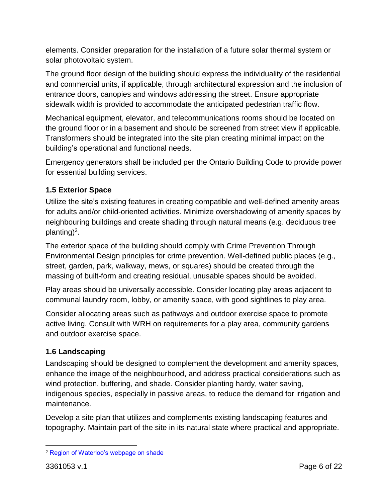elements. Consider preparation for the installation of a future solar thermal system or solar photovoltaic system.

The ground floor design of the building should express the individuality of the residential and commercial units, if applicable, through architectural expression and the inclusion of entrance doors, canopies and windows addressing the street. Ensure appropriate sidewalk width is provided to accommodate the anticipated pedestrian traffic flow.

Mechanical equipment, elevator, and telecommunications rooms should be located on the ground floor or in a basement and should be screened from street view if applicable. Transformers should be integrated into the site plan creating minimal impact on the building's operational and functional needs.

Emergency generators shall be included per the Ontario Building Code to provide power for essential building services.

# <span id="page-5-0"></span>**1.5 Exterior Space**

Utilize the site's existing features in creating compatible and well-defined amenity areas for adults and/or child-oriented activities. Minimize overshadowing of amenity spaces by neighbouring buildings and create shading through natural means (e.g. deciduous tree planting)<sup>2</sup>.

The exterior space of the building should comply with Crime Prevention Through Environmental Design principles for crime prevention. Well-defined public places (e.g., street, garden, park, walkway, mews, or squares) should be created through the massing of built-form and creating residual, unusable spaces should be avoided.

Play areas should be universally accessible. Consider locating play areas adjacent to communal laundry room, lobby, or amenity space, with good sightlines to play area.

Consider allocating areas such as pathways and outdoor exercise space to promote active living. Consult with WRH on requirements for a play area, community gardens and outdoor exercise space.

# <span id="page-5-1"></span>**1.6 Landscaping**

Landscaping should be designed to complement the development and amenity spaces, enhance the image of the neighbourhood, and address practical considerations such as wind protection, buffering, and shade. Consider planting hardy, water saving, indigenous species, especially in passive areas, to reduce the demand for irrigation and maintenance.

Develop a site plan that utilizes and complements existing landscaping features and topography. Maintain part of the site in its natural state where practical and appropriate.

 $\overline{a}$ <sup>2</sup> [Region of Waterloo's webpage on shade](https://www.regionofwaterloo.ca/en/health-and-wellness/shade.aspx)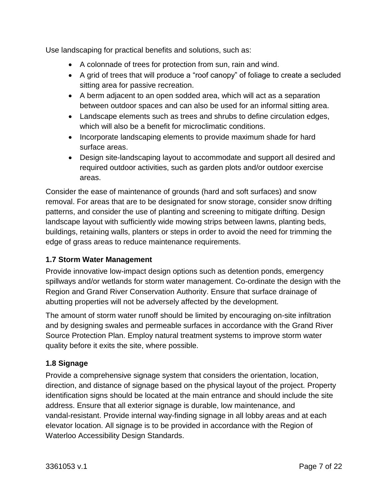Use landscaping for practical benefits and solutions, such as:

- A colonnade of trees for protection from sun, rain and wind.
- A grid of trees that will produce a "roof canopy" of foliage to create a secluded sitting area for passive recreation.
- A berm adjacent to an open sodded area, which will act as a separation between outdoor spaces and can also be used for an informal sitting area.
- Landscape elements such as trees and shrubs to define circulation edges, which will also be a benefit for microclimatic conditions.
- Incorporate landscaping elements to provide maximum shade for hard surface areas.
- Design site-landscaping layout to accommodate and support all desired and required outdoor activities, such as garden plots and/or outdoor exercise areas.

Consider the ease of maintenance of grounds (hard and soft surfaces) and snow removal. For areas that are to be designated for snow storage, consider snow drifting patterns, and consider the use of planting and screening to mitigate drifting. Design landscape layout with sufficiently wide mowing strips between lawns, planting beds, buildings, retaining walls, planters or steps in order to avoid the need for trimming the edge of grass areas to reduce maintenance requirements.

# <span id="page-6-0"></span>**1.7 Storm Water Management**

Provide innovative low-impact design options such as detention ponds, emergency spillways and/or wetlands for storm water management. Co-ordinate the design with the Region and Grand River Conservation Authority. Ensure that surface drainage of abutting properties will not be adversely affected by the development.

The amount of storm water runoff should be limited by encouraging on-site infiltration and by designing swales and permeable surfaces in accordance with the Grand River Source Protection Plan. Employ natural treatment systems to improve storm water quality before it exits the site, where possible.

# <span id="page-6-1"></span>**1.8 Signage**

Provide a comprehensive signage system that considers the orientation, location, direction, and distance of signage based on the physical layout of the project. Property identification signs should be located at the main entrance and should include the site address. Ensure that all exterior signage is durable, low maintenance, and vandal-resistant. Provide internal way-finding signage in all lobby areas and at each elevator location. All signage is to be provided in accordance with the Region of Waterloo Accessibility Design Standards.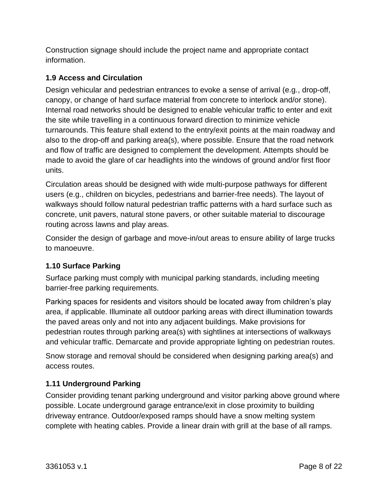Construction signage should include the project name and appropriate contact information.

# <span id="page-7-0"></span>**1.9 Access and Circulation**

Design vehicular and pedestrian entrances to evoke a sense of arrival (e.g., drop-off, canopy, or change of hard surface material from concrete to interlock and/or stone). Internal road networks should be designed to enable vehicular traffic to enter and exit the site while travelling in a continuous forward direction to minimize vehicle turnarounds. This feature shall extend to the entry/exit points at the main roadway and also to the drop-off and parking area(s), where possible. Ensure that the road network and flow of traffic are designed to complement the development. Attempts should be made to avoid the glare of car headlights into the windows of ground and/or first floor units.

Circulation areas should be designed with wide multi-purpose pathways for different users (e.g., children on bicycles, pedestrians and barrier-free needs). The layout of walkways should follow natural pedestrian traffic patterns with a hard surface such as concrete, unit pavers, natural stone pavers, or other suitable material to discourage routing across lawns and play areas.

Consider the design of garbage and move-in/out areas to ensure ability of large trucks to manoeuvre.

#### <span id="page-7-1"></span>**1.10 Surface Parking**

Surface parking must comply with municipal parking standards, including meeting barrier-free parking requirements.

Parking spaces for residents and visitors should be located away from children's play area, if applicable. Illuminate all outdoor parking areas with direct illumination towards the paved areas only and not into any adjacent buildings. Make provisions for pedestrian routes through parking area(s) with sightlines at intersections of walkways and vehicular traffic. Demarcate and provide appropriate lighting on pedestrian routes.

Snow storage and removal should be considered when designing parking area(s) and access routes.

# <span id="page-7-2"></span>**1.11 Underground Parking**

Consider providing tenant parking underground and visitor parking above ground where possible. Locate underground garage entrance/exit in close proximity to building driveway entrance. Outdoor/exposed ramps should have a snow melting system complete with heating cables. Provide a linear drain with grill at the base of all ramps.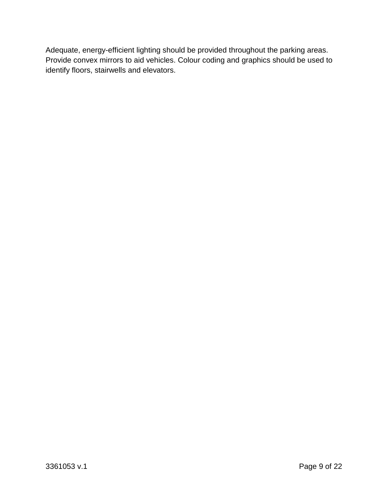Adequate, energy-efficient lighting should be provided throughout the parking areas. Provide convex mirrors to aid vehicles. Colour coding and graphics should be used to identify floors, stairwells and elevators.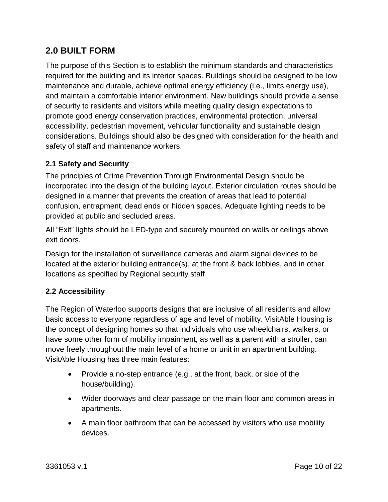# <span id="page-9-0"></span>**2.0 BUILT FORM**

The purpose of this Section is to establish the minimum standards and characteristics required for the building and its interior spaces. Buildings should be designed to be low maintenance and durable, achieve optimal energy efficiency (i.e., limits energy use), and maintain a comfortable interior environment. New buildings should provide a sense of security to residents and visitors while meeting quality design expectations to promote good energy conservation practices, environmental protection, universal accessibility, pedestrian movement, vehicular functionality and sustainable design considerations. Buildings should also be designed with consideration for the health and safety of staff and maintenance workers.

# <span id="page-9-1"></span>**2.1 Safety and Security**

The principles of Crime Prevention Through Environmental Design should be incorporated into the design of the building layout. Exterior circulation routes should be designed in a manner that prevents the creation of areas that lead to potential confusion, entrapment, dead ends or hidden spaces. Adequate lighting needs to be provided at public and secluded areas.

All "Exit" lights should be LED-type and securely mounted on walls or ceilings above exit doors.

Design for the installation of surveillance cameras and alarm signal devices to be located at the exterior building entrance(s), at the front & back lobbies, and in other locations as specified by Regional security staff.

#### <span id="page-9-2"></span>**2.2 Accessibility**

The Region of Waterloo supports designs that are inclusive of all residents and allow basic access to everyone regardless of age and level of mobility. VisitAble Housing is the concept of designing homes so that individuals who use wheelchairs, walkers, or have some other form of mobility impairment, as well as a parent with a stroller, can move freely throughout the main level of a home or unit in an apartment building. VisitAble Housing has three main features:

- Provide a no-step entrance (e.g., at the front, back, or side of the house/building).
- Wider doorways and clear passage on the main floor and common areas in apartments.
- A main floor bathroom that can be accessed by visitors who use mobility devices.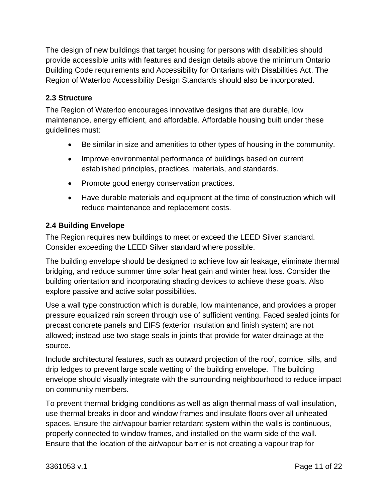The design of new buildings that target housing for persons with disabilities should provide accessible units with features and design details above the minimum Ontario Building Code requirements and Accessibility for Ontarians with Disabilities Act. The Region of Waterloo Accessibility Design Standards should also be incorporated.

## <span id="page-10-0"></span>**2.3 Structure**

The Region of Waterloo encourages innovative designs that are durable, low maintenance, energy efficient, and affordable. Affordable housing built under these guidelines must:

- Be similar in size and amenities to other types of housing in the community.
- Improve environmental performance of buildings based on current established principles, practices, materials, and standards.
- Promote good energy conservation practices.
- Have durable materials and equipment at the time of construction which will reduce maintenance and replacement costs.

# <span id="page-10-1"></span>**2.4 Building Envelope**

The Region requires new buildings to meet or exceed the LEED Silver standard. Consider exceeding the LEED Silver standard where possible.

The building envelope should be designed to achieve low air leakage, eliminate thermal bridging, and reduce summer time solar heat gain and winter heat loss. Consider the building orientation and incorporating shading devices to achieve these goals. Also explore passive and active solar possibilities.

Use a wall type construction which is durable, low maintenance, and provides a proper pressure equalized rain screen through use of sufficient venting. Faced sealed joints for precast concrete panels and EIFS (exterior insulation and finish system) are not allowed; instead use two-stage seals in joints that provide for water drainage at the source.

Include architectural features, such as outward projection of the roof, cornice, sills, and drip ledges to prevent large scale wetting of the building envelope. The building envelope should visually integrate with the surrounding neighbourhood to reduce impact on community members.

To prevent thermal bridging conditions as well as align thermal mass of wall insulation, use thermal breaks in door and window frames and insulate floors over all unheated spaces. Ensure the air/vapour barrier retardant system within the walls is continuous, properly connected to window frames, and installed on the warm side of the wall. Ensure that the location of the air/vapour barrier is not creating a vapour trap for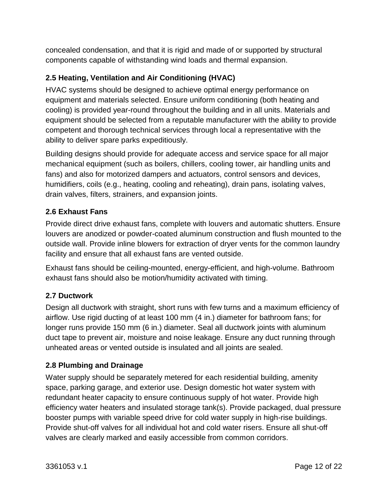concealed condensation, and that it is rigid and made of or supported by structural components capable of withstanding wind loads and thermal expansion.

# <span id="page-11-0"></span>**2.5 Heating, Ventilation and Air Conditioning (HVAC)**

HVAC systems should be designed to achieve optimal energy performance on equipment and materials selected. Ensure uniform conditioning (both heating and cooling) is provided year-round throughout the building and in all units. Materials and equipment should be selected from a reputable manufacturer with the ability to provide competent and thorough technical services through local a representative with the ability to deliver spare parks expeditiously.

Building designs should provide for adequate access and service space for all major mechanical equipment (such as boilers, chillers, cooling tower, air handling units and fans) and also for motorized dampers and actuators, control sensors and devices, humidifiers, coils (e.g., heating, cooling and reheating), drain pans, isolating valves, drain valves, filters, strainers, and expansion joints.

# <span id="page-11-1"></span>**2.6 Exhaust Fans**

Provide direct drive exhaust fans, complete with louvers and automatic shutters. Ensure louvers are anodized or powder-coated aluminum construction and flush mounted to the outside wall. Provide inline blowers for extraction of dryer vents for the common laundry facility and ensure that all exhaust fans are vented outside.

Exhaust fans should be ceiling-mounted, energy-efficient, and high-volume. Bathroom exhaust fans should also be motion/humidity activated with timing.

# <span id="page-11-2"></span>**2.7 Ductwork**

Design all ductwork with straight, short runs with few turns and a maximum efficiency of airflow. Use rigid ducting of at least 100 mm (4 in.) diameter for bathroom fans; for longer runs provide 150 mm (6 in.) diameter. Seal all ductwork joints with aluminum duct tape to prevent air, moisture and noise leakage. Ensure any duct running through unheated areas or vented outside is insulated and all joints are sealed.

#### <span id="page-11-3"></span>**2.8 Plumbing and Drainage**

Water supply should be separately metered for each residential building, amenity space, parking garage, and exterior use. Design domestic hot water system with redundant heater capacity to ensure continuous supply of hot water. Provide high efficiency water heaters and insulated storage tank(s). Provide packaged, dual pressure booster pumps with variable speed drive for cold water supply in high-rise buildings. Provide shut-off valves for all individual hot and cold water risers. Ensure all shut-off valves are clearly marked and easily accessible from common corridors.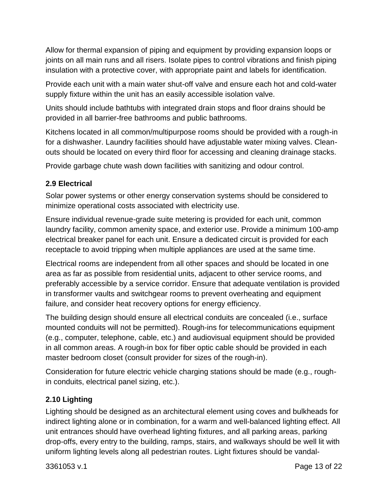Allow for thermal expansion of piping and equipment by providing expansion loops or joints on all main runs and all risers. Isolate pipes to control vibrations and finish piping insulation with a protective cover, with appropriate paint and labels for identification.

Provide each unit with a main water shut-off valve and ensure each hot and cold-water supply fixture within the unit has an easily accessible isolation valve.

Units should include bathtubs with integrated drain stops and floor drains should be provided in all barrier-free bathrooms and public bathrooms.

Kitchens located in all common/multipurpose rooms should be provided with a rough-in for a dishwasher. Laundry facilities should have adjustable water mixing valves. Cleanouts should be located on every third floor for accessing and cleaning drainage stacks.

Provide garbage chute wash down facilities with sanitizing and odour control.

# <span id="page-12-0"></span>**2.9 Electrical**

Solar power systems or other energy conservation systems should be considered to minimize operational costs associated with electricity use.

Ensure individual revenue-grade suite metering is provided for each unit, common laundry facility, common amenity space, and exterior use. Provide a minimum 100-amp electrical breaker panel for each unit. Ensure a dedicated circuit is provided for each receptacle to avoid tripping when multiple appliances are used at the same time.

Electrical rooms are independent from all other spaces and should be located in one area as far as possible from residential units, adjacent to other service rooms, and preferably accessible by a service corridor. Ensure that adequate ventilation is provided in transformer vaults and switchgear rooms to prevent overheating and equipment failure, and consider heat recovery options for energy efficiency.

The building design should ensure all electrical conduits are concealed (i.e., surface mounted conduits will not be permitted). Rough-ins for telecommunications equipment (e.g., computer, telephone, cable, etc.) and audiovisual equipment should be provided in all common areas. A rough-in box for fiber optic cable should be provided in each master bedroom closet (consult provider for sizes of the rough-in).

Consideration for future electric vehicle charging stations should be made (e.g., roughin conduits, electrical panel sizing, etc.).

# <span id="page-12-1"></span>**2.10 Lighting**

Lighting should be designed as an architectural element using coves and bulkheads for indirect lighting alone or in combination, for a warm and well-balanced lighting effect. All unit entrances should have overhead lighting fixtures, and all parking areas, parking drop-offs, every entry to the building, ramps, stairs, and walkways should be well lit with uniform lighting levels along all pedestrian routes. Light fixtures should be vandal-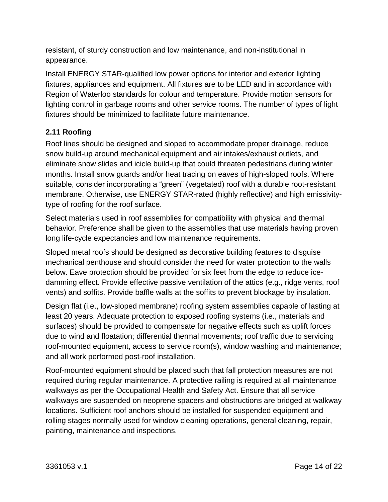resistant, of sturdy construction and low maintenance, and non-institutional in appearance.

Install ENERGY STAR-qualified low power options for interior and exterior lighting fixtures, appliances and equipment. All fixtures are to be LED and in accordance with Region of Waterloo standards for colour and temperature. Provide motion sensors for lighting control in garbage rooms and other service rooms. The number of types of light fixtures should be minimized to facilitate future maintenance.

# <span id="page-13-0"></span>**2.11 Roofing**

Roof lines should be designed and sloped to accommodate proper drainage, reduce snow build-up around mechanical equipment and air intakes/exhaust outlets, and eliminate snow slides and icicle build-up that could threaten pedestrians during winter months. Install snow guards and/or heat tracing on eaves of high-sloped roofs. Where suitable, consider incorporating a "green" (vegetated) roof with a durable root-resistant membrane. Otherwise, use ENERGY STAR-rated (highly reflective) and high emissivitytype of roofing for the roof surface.

Select materials used in roof assemblies for compatibility with physical and thermal behavior. Preference shall be given to the assemblies that use materials having proven long life-cycle expectancies and low maintenance requirements.

Sloped metal roofs should be designed as decorative building features to disguise mechanical penthouse and should consider the need for water protection to the walls below. Eave protection should be provided for six feet from the edge to reduce icedamming effect. Provide effective passive ventilation of the attics (e.g., ridge vents, roof vents) and soffits. Provide baffle walls at the soffits to prevent blockage by insulation.

Design flat (i.e., low-sloped membrane) roofing system assemblies capable of lasting at least 20 years. Adequate protection to exposed roofing systems (i.e., materials and surfaces) should be provided to compensate for negative effects such as uplift forces due to wind and floatation; differential thermal movements; roof traffic due to servicing roof-mounted equipment, access to service room(s), window washing and maintenance; and all work performed post-roof installation.

Roof-mounted equipment should be placed such that fall protection measures are not required during regular maintenance. A protective railing is required at all maintenance walkways as per the Occupational Health and Safety Act. Ensure that all service walkways are suspended on neoprene spacers and obstructions are bridged at walkway locations. Sufficient roof anchors should be installed for suspended equipment and rolling stages normally used for window cleaning operations, general cleaning, repair, painting, maintenance and inspections.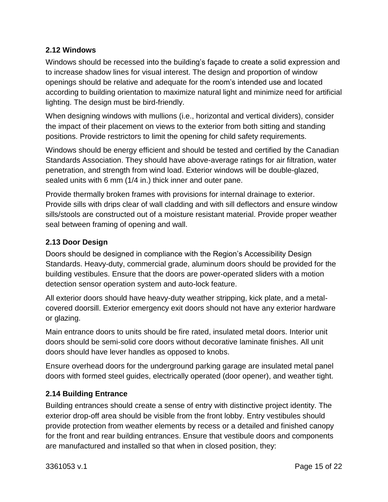## <span id="page-14-0"></span>**2.12 Windows**

Windows should be recessed into the building's façade to create a solid expression and to increase shadow lines for visual interest. The design and proportion of window openings should be relative and adequate for the room's intended use and located according to building orientation to maximize natural light and minimize need for artificial lighting. The design must be bird-friendly.

When designing windows with mullions (i.e., horizontal and vertical dividers), consider the impact of their placement on views to the exterior from both sitting and standing positions. Provide restrictors to limit the opening for child safety requirements.

Windows should be energy efficient and should be tested and certified by the Canadian Standards Association. They should have above-average ratings for air filtration, water penetration, and strength from wind load. Exterior windows will be double-glazed, sealed units with 6 mm (1/4 in.) thick inner and outer pane.

Provide thermally broken frames with provisions for internal drainage to exterior. Provide sills with drips clear of wall cladding and with sill deflectors and ensure window sills/stools are constructed out of a moisture resistant material. Provide proper weather seal between framing of opening and wall.

# <span id="page-14-1"></span>**2.13 Door Design**

Doors should be designed in compliance with the Region's Accessibility Design Standards. Heavy-duty, commercial grade, aluminum doors should be provided for the building vestibules. Ensure that the doors are power-operated sliders with a motion detection sensor operation system and auto-lock feature.

All exterior doors should have heavy-duty weather stripping, kick plate, and a metalcovered doorsill. Exterior emergency exit doors should not have any exterior hardware or glazing.

Main entrance doors to units should be fire rated, insulated metal doors. Interior unit doors should be semi-solid core doors without decorative laminate finishes. All unit doors should have lever handles as opposed to knobs.

Ensure overhead doors for the underground parking garage are insulated metal panel doors with formed steel guides, electrically operated (door opener), and weather tight.

# <span id="page-14-2"></span>**2.14 Building Entrance**

Building entrances should create a sense of entry with distinctive project identity. The exterior drop-off area should be visible from the front lobby. Entry vestibules should provide protection from weather elements by recess or a detailed and finished canopy for the front and rear building entrances. Ensure that vestibule doors and components are manufactured and installed so that when in closed position, they: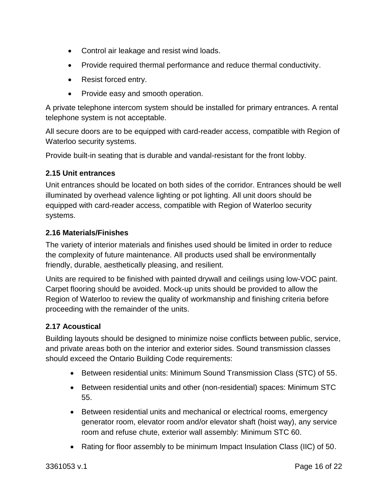- Control air leakage and resist wind loads.
- Provide required thermal performance and reduce thermal conductivity.
- Resist forced entry.
- Provide easy and smooth operation.

A private telephone intercom system should be installed for primary entrances. A rental telephone system is not acceptable.

All secure doors are to be equipped with card-reader access, compatible with Region of Waterloo security systems.

Provide built-in seating that is durable and vandal-resistant for the front lobby.

#### <span id="page-15-0"></span>**2.15 Unit entrances**

Unit entrances should be located on both sides of the corridor. Entrances should be well illuminated by overhead valence lighting or pot lighting. All unit doors should be equipped with card-reader access, compatible with Region of Waterloo security systems.

#### <span id="page-15-1"></span>**2.16 Materials/Finishes**

The variety of interior materials and finishes used should be limited in order to reduce the complexity of future maintenance. All products used shall be environmentally friendly, durable, aesthetically pleasing, and resilient.

Units are required to be finished with painted drywall and ceilings using low-VOC paint. Carpet flooring should be avoided. Mock-up units should be provided to allow the Region of Waterloo to review the quality of workmanship and finishing criteria before proceeding with the remainder of the units.

#### <span id="page-15-2"></span>**2.17 Acoustical**

Building layouts should be designed to minimize noise conflicts between public, service, and private areas both on the interior and exterior sides. Sound transmission classes should exceed the Ontario Building Code requirements:

- Between residential units: Minimum Sound Transmission Class (STC) of 55.
- Between residential units and other (non-residential) spaces: Minimum STC 55.
- Between residential units and mechanical or electrical rooms, emergency generator room, elevator room and/or elevator shaft (hoist way), any service room and refuse chute, exterior wall assembly: Minimum STC 60.
- Rating for floor assembly to be minimum Impact Insulation Class (IIC) of 50.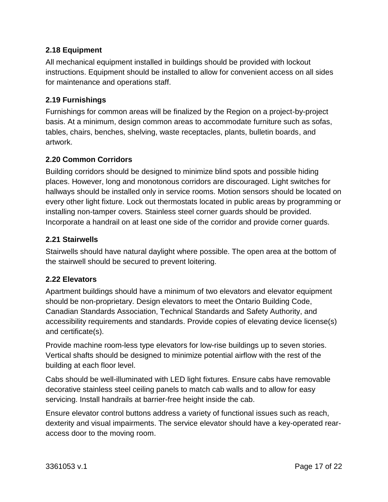## <span id="page-16-0"></span>**2.18 Equipment**

All mechanical equipment installed in buildings should be provided with lockout instructions. Equipment should be installed to allow for convenient access on all sides for maintenance and operations staff.

# <span id="page-16-1"></span>**2.19 Furnishings**

Furnishings for common areas will be finalized by the Region on a project-by-project basis. At a minimum, design common areas to accommodate furniture such as sofas, tables, chairs, benches, shelving, waste receptacles, plants, bulletin boards, and artwork.

#### <span id="page-16-2"></span>**2.20 Common Corridors**

Building corridors should be designed to minimize blind spots and possible hiding places. However, long and monotonous corridors are discouraged. Light switches for hallways should be installed only in service rooms. Motion sensors should be located on every other light fixture. Lock out thermostats located in public areas by programming or installing non-tamper covers. Stainless steel corner guards should be provided. Incorporate a handrail on at least one side of the corridor and provide corner guards.

#### <span id="page-16-3"></span>**2.21 Stairwells**

Stairwells should have natural daylight where possible. The open area at the bottom of the stairwell should be secured to prevent loitering.

#### <span id="page-16-4"></span>**2.22 Elevators**

Apartment buildings should have a minimum of two elevators and elevator equipment should be non-proprietary. Design elevators to meet the Ontario Building Code, Canadian Standards Association, Technical Standards and Safety Authority, and accessibility requirements and standards. Provide copies of elevating device license(s) and certificate(s).

Provide machine room-less type elevators for low-rise buildings up to seven stories. Vertical shafts should be designed to minimize potential airflow with the rest of the building at each floor level.

Cabs should be well-illuminated with LED light fixtures. Ensure cabs have removable decorative stainless steel ceiling panels to match cab walls and to allow for easy servicing. Install handrails at barrier-free height inside the cab.

Ensure elevator control buttons address a variety of functional issues such as reach, dexterity and visual impairments. The service elevator should have a key-operated rearaccess door to the moving room.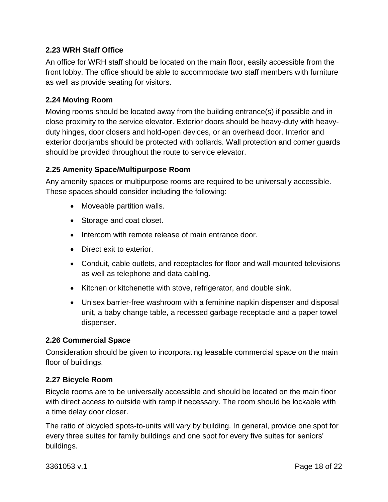## <span id="page-17-0"></span>**2.23 WRH Staff Office**

An office for WRH staff should be located on the main floor, easily accessible from the front lobby. The office should be able to accommodate two staff members with furniture as well as provide seating for visitors.

## <span id="page-17-1"></span>**2.24 Moving Room**

Moving rooms should be located away from the building entrance(s) if possible and in close proximity to the service elevator. Exterior doors should be heavy-duty with heavyduty hinges, door closers and hold-open devices, or an overhead door. Interior and exterior doorjambs should be protected with bollards. Wall protection and corner guards should be provided throughout the route to service elevator.

# <span id="page-17-2"></span>**2.25 Amenity Space/Multipurpose Room**

Any amenity spaces or multipurpose rooms are required to be universally accessible. These spaces should consider including the following:

- Moveable partition walls.
- Storage and coat closet.
- Intercom with remote release of main entrance door.
- Direct exit to exterior.
- Conduit, cable outlets, and receptacles for floor and wall-mounted televisions as well as telephone and data cabling.
- Kitchen or kitchenette with stove, refrigerator, and double sink.
- Unisex barrier-free washroom with a feminine napkin dispenser and disposal unit, a baby change table, a recessed garbage receptacle and a paper towel dispenser.

#### <span id="page-17-3"></span>**2.26 Commercial Space**

Consideration should be given to incorporating leasable commercial space on the main floor of buildings.

#### <span id="page-17-4"></span>**2.27 Bicycle Room**

Bicycle rooms are to be universally accessible and should be located on the main floor with direct access to outside with ramp if necessary. The room should be lockable with a time delay door closer.

The ratio of bicycled spots-to-units will vary by building. In general, provide one spot for every three suites for family buildings and one spot for every five suites for seniors' buildings.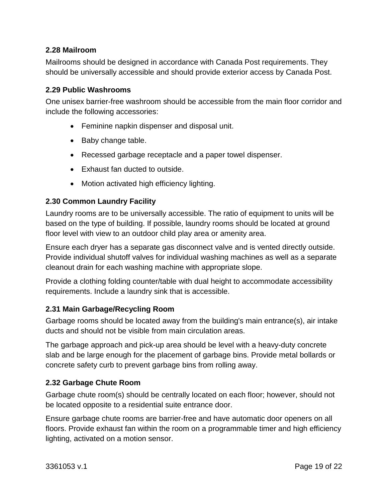#### <span id="page-18-0"></span>**2.28 Mailroom**

Mailrooms should be designed in accordance with Canada Post requirements. They should be universally accessible and should provide exterior access by Canada Post.

#### <span id="page-18-1"></span>**2.29 Public Washrooms**

One unisex barrier-free washroom should be accessible from the main floor corridor and include the following accessories:

- Feminine napkin dispenser and disposal unit.
- Baby change table.
- Recessed garbage receptacle and a paper towel dispenser.
- Exhaust fan ducted to outside.
- Motion activated high efficiency lighting.

#### <span id="page-18-2"></span>**2.30 Common Laundry Facility**

Laundry rooms are to be universally accessible. The ratio of equipment to units will be based on the type of building. If possible, laundry rooms should be located at ground floor level with view to an outdoor child play area or amenity area.

Ensure each dryer has a separate gas disconnect valve and is vented directly outside. Provide individual shutoff valves for individual washing machines as well as a separate cleanout drain for each washing machine with appropriate slope.

Provide a clothing folding counter/table with dual height to accommodate accessibility requirements. Include a laundry sink that is accessible.

#### <span id="page-18-3"></span>**2.31 Main Garbage/Recycling Room**

Garbage rooms should be located away from the building's main entrance(s), air intake ducts and should not be visible from main circulation areas.

The garbage approach and pick-up area should be level with a heavy-duty concrete slab and be large enough for the placement of garbage bins. Provide metal bollards or concrete safety curb to prevent garbage bins from rolling away.

#### <span id="page-18-4"></span>**2.32 Garbage Chute Room**

Garbage chute room(s) should be centrally located on each floor; however, should not be located opposite to a residential suite entrance door.

Ensure garbage chute rooms are barrier-free and have automatic door openers on all floors. Provide exhaust fan within the room on a programmable timer and high efficiency lighting, activated on a motion sensor.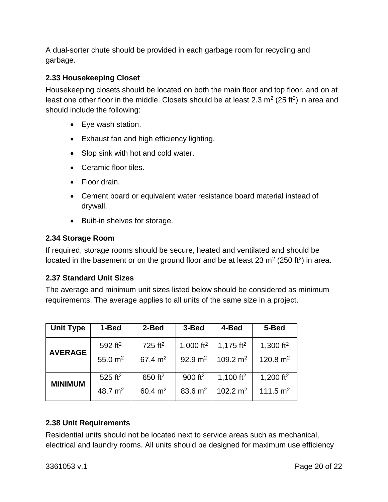A dual-sorter chute should be provided in each garbage room for recycling and garbage.

# <span id="page-19-0"></span>**2.33 Housekeeping Closet**

Housekeeping closets should be located on both the main floor and top floor, and on at least one other floor in the middle. Closets should be at least 2.3  $m^2$  (25 ft<sup>2</sup>) in area and should include the following:

- Eye wash station.
- Exhaust fan and high efficiency lighting.
- Slop sink with hot and cold water.
- Ceramic floor tiles.
- Floor drain.
- Cement board or equivalent water resistance board material instead of drywall.
- Built-in shelves for storage.

#### <span id="page-19-1"></span>**2.34 Storage Room**

If required, storage rooms should be secure, heated and ventilated and should be located in the basement or on the ground floor and be at least 23  $m^2$  (250 ft<sup>2</sup>) in area.

#### <span id="page-19-2"></span>**2.37 Standard Unit Sizes**

The average and minimum unit sizes listed below should be considered as minimum requirements. The average applies to all units of the same size in a project.

| <b>Unit Type</b> | 1-Bed                 | 2-Bed                 | 3-Bed        | 4-Bed                 | 5-Bed                 |
|------------------|-----------------------|-----------------------|--------------|-----------------------|-----------------------|
| <b>AVERAGE</b>   | 592 ft <sup>2</sup>   | $725$ ft <sup>2</sup> | 1,000 $ft^2$ | 1,175 ft <sup>2</sup> | 1,300 $ft^2$          |
|                  | 55.0 $m2$             | $67.4 \text{ m}^2$    | 92.9 $m2$    | 109.2 $m2$            | 120.8 $m2$            |
| <b>MINIMUM</b>   | $525$ ft <sup>2</sup> | 650 ft <sup>2</sup>   | 900 $ft^2$   | 1,100 ft <sup>2</sup> | 1,200 ft <sup>2</sup> |
|                  | 48.7 $m^2$            | 60.4 $m^2$            | 83.6 $m^2$   | 102.2 $m2$            | 111.5 $m2$            |

#### <span id="page-19-3"></span>**2.38 Unit Requirements**

Residential units should not be located next to service areas such as mechanical, electrical and laundry rooms. All units should be designed for maximum use efficiency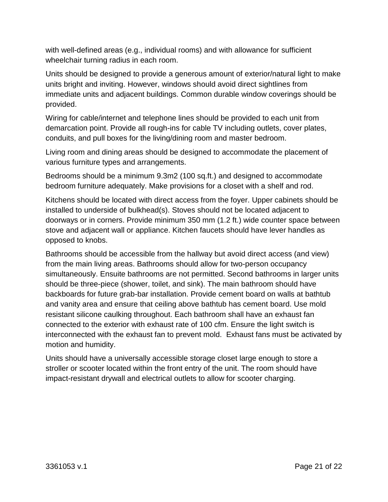with well-defined areas (e.g., individual rooms) and with allowance for sufficient wheelchair turning radius in each room.

Units should be designed to provide a generous amount of exterior/natural light to make units bright and inviting. However, windows should avoid direct sightlines from immediate units and adjacent buildings. Common durable window coverings should be provided.

Wiring for cable/internet and telephone lines should be provided to each unit from demarcation point. Provide all rough-ins for cable TV including outlets, cover plates, conduits, and pull boxes for the living/dining room and master bedroom.

Living room and dining areas should be designed to accommodate the placement of various furniture types and arrangements.

Bedrooms should be a minimum 9.3m2 (100 sq.ft.) and designed to accommodate bedroom furniture adequately. Make provisions for a closet with a shelf and rod.

Kitchens should be located with direct access from the foyer. Upper cabinets should be installed to underside of bulkhead(s). Stoves should not be located adjacent to doorways or in corners. Provide minimum 350 mm (1.2 ft.) wide counter space between stove and adjacent wall or appliance. Kitchen faucets should have lever handles as opposed to knobs.

Bathrooms should be accessible from the hallway but avoid direct access (and view) from the main living areas. Bathrooms should allow for two-person occupancy simultaneously. Ensuite bathrooms are not permitted. Second bathrooms in larger units should be three-piece (shower, toilet, and sink). The main bathroom should have backboards for future grab-bar installation. Provide cement board on walls at bathtub and vanity area and ensure that ceiling above bathtub has cement board. Use mold resistant silicone caulking throughout. Each bathroom shall have an exhaust fan connected to the exterior with exhaust rate of 100 cfm. Ensure the light switch is interconnected with the exhaust fan to prevent mold. Exhaust fans must be activated by motion and humidity.

Units should have a universally accessible storage closet large enough to store a stroller or scooter located within the front entry of the unit. The room should have impact-resistant drywall and electrical outlets to allow for scooter charging.